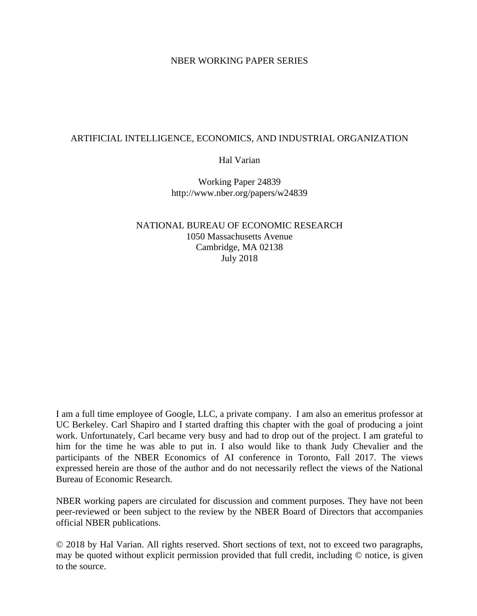#### NBER WORKING PAPER SERIES

#### ARTIFICIAL INTELLIGENCE, ECONOMICS, AND INDUSTRIAL ORGANIZATION

Hal Varian

Working Paper 24839 http://www.nber.org/papers/w24839

NATIONAL BUREAU OF ECONOMIC RESEARCH 1050 Massachusetts Avenue Cambridge, MA 02138 July 2018

I am a full time employee of Google, LLC, a private company. I am also an emeritus professor at UC Berkeley. Carl Shapiro and I started drafting this chapter with the goal of producing a joint work. Unfortunately, Carl became very busy and had to drop out of the project. I am grateful to him for the time he was able to put in. I also would like to thank Judy Chevalier and the participants of the NBER Economics of AI conference in Toronto, Fall 2017. The views expressed herein are those of the author and do not necessarily reflect the views of the National Bureau of Economic Research.

NBER working papers are circulated for discussion and comment purposes. They have not been peer-reviewed or been subject to the review by the NBER Board of Directors that accompanies official NBER publications.

© 2018 by Hal Varian. All rights reserved. Short sections of text, not to exceed two paragraphs, may be quoted without explicit permission provided that full credit, including © notice, is given to the source.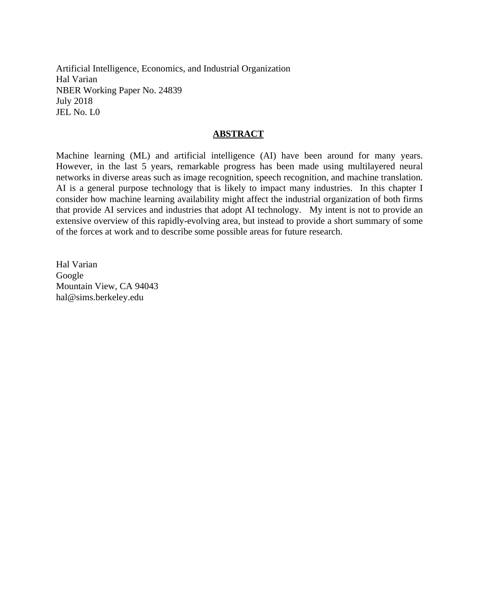Artificial Intelligence, Economics, and Industrial Organization Hal Varian NBER Working Paper No. 24839 July 2018 JEL No. L0

#### **ABSTRACT**

Machine learning (ML) and artificial intelligence (AI) have been around for many years. However, in the last 5 years, remarkable progress has been made using multilayered neural networks in diverse areas such as image recognition, speech recognition, and machine translation. AI is a general purpose technology that is likely to impact many industries. In this chapter I consider how machine learning availability might affect the industrial organization of both firms that provide AI services and industries that adopt AI technology. My intent is not to provide an extensive overview of this rapidly-evolving area, but instead to provide a short summary of some of the forces at work and to describe some possible areas for future research.

Hal Varian Google Mountain View, CA 94043 hal@sims.berkeley.edu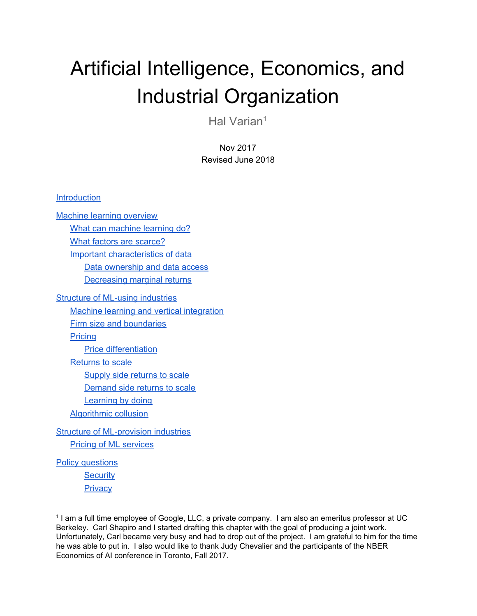# Artificial Intelligence, Economics, and Industrial Organization

Hal Varian<sup>1</sup>

Nov 2017 Revised June 2018

#### **Introduction**

[Machine learning overview](#page-3-1) [What can machine learning do?](#page-5-0) [What factors are scarce?](#page-6-0) [Important characteristics of data](#page-8-0)  [Data ownership and data access](#page-8-1)  [Decreasing marginal returns](#page-9-0)

[Structure of ML-using industries](#page-11-0) [Machine learning and vertical integration](#page-12-0) [Firm size and boundaries](#page-12-1)  **Pricing** [Price differentiation](#page-14-0) [Returns to scale](#page-14-1)  [Supply side returns to scale](#page-15-0) [Demand side returns to scale](#page-15-1)  [Learning by doing](#page-16-0)  [Algorithmic collusion](#page-16-1) [Structure of ML-provision industries](#page-18-0) 

[Pricing of ML services](#page-19-0)

[Policy questions](#page-19-1) 

**Security [Privacy](#page-20-0)** 

 $^{\text{\tiny{1}}}$  I am a full time employee of Google, LLC, a private company. I am also an emeritus professor at UC Berkeley. Carl Shapiro and I started drafting this chapter with the goal of producing a joint work. Unfortunately, Carl became very busy and had to drop out of the project. I am grateful to him for the time he was able to put in. I also would like to thank Judy Chevalier and the participants of the NBER Economics of AI conference in Toronto, Fall 2017.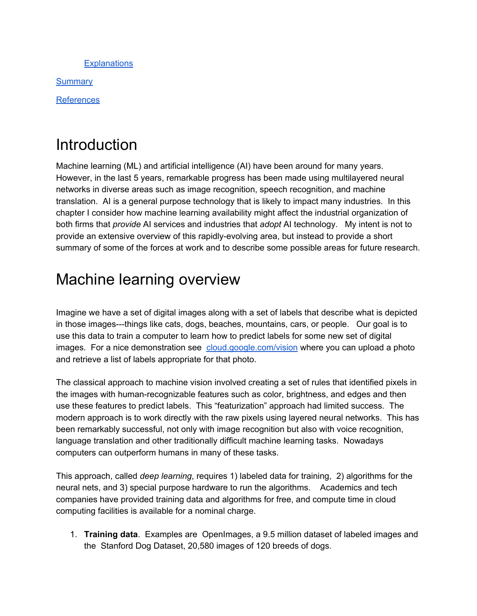**Explanations** 

**[Summary](#page-21-1)** 

**[References](#page-21-2)** 

# <span id="page-3-0"></span>Introduction

Machine learning (ML) and artificial intelligence (AI) have been around for many years. However, in the last 5 years, remarkable progress has been made using multilayered neural networks in diverse areas such as image recognition, speech recognition, and machine translation. AI is a general purpose technology that is likely to impact many industries. In this chapter I consider how machine learning availability might affect the industrial organization of both firms that *provide* AI services and industries that *adopt* AI technology. My intent is not to provide an extensive overview of this rapidly-evolving area, but instead to provide a short summary of some of the forces at work and to describe some possible areas for future research.

# <span id="page-3-1"></span>Machine learning overview

Imagine we have a set of digital images along with a set of labels that describe what is depicted in those images---things like cats, dogs, beaches, mountains, cars, or people. Our goal is to use this data to train a computer to learn how to predict labels for some new set of digital images. For a nice demonstration see [cloud.google.com/vision](http://cloud.google.com/vision) where you can upload a photo and retrieve a list of labels appropriate for that photo.

The classical approach to machine vision involved creating a set of rules that identified pixels in the images with human-recognizable features such as color, brightness, and edges and then use these features to predict labels. This "featurization" approach had limited success. The modern approach is to work directly with the raw pixels using layered neural networks. This has been remarkably successful, not only with image recognition but also with voice recognition, language translation and other traditionally difficult machine learning tasks. Nowadays computers can outperform humans in many of these tasks.

This approach, called *deep learning*, requires 1) labeled data for training, 2) algorithms for the neural nets, and 3) special purpose hardware to run the algorithms. Academics and tech companies have provided training data and algorithms for free, and compute time in cloud computing facilities is available for a nominal charge.

1. **Training data**. Examples are OpenImages, a 9.5 million dataset of labeled images and the Stanford Dog Dataset, 20,580 images of 120 breeds of dogs.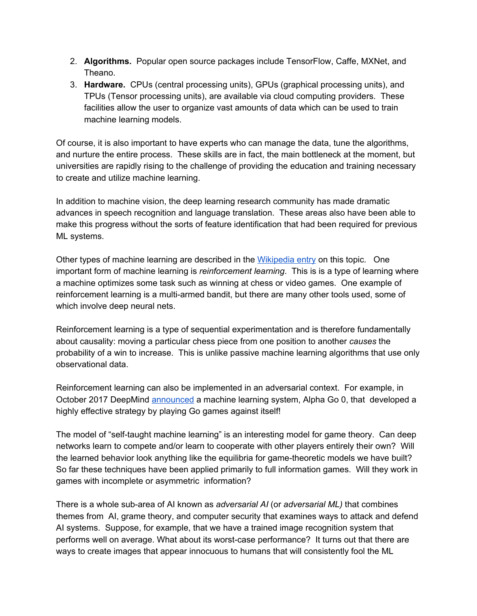- 2. **Algorithms.** Popular open source packages include TensorFlow, Caffe, MXNet, and Theano.
- 3. **Hardware.** CPUs (central processing units), GPUs (graphical processing units), and TPUs (Tensor processing units), are available via cloud computing providers. These facilities allow the user to organize vast amounts of data which can be used to train machine learning models.

Of course, it is also important to have experts who can manage the data, tune the algorithms, and nurture the entire process. These skills are in fact, the main bottleneck at the moment, but universities are rapidly rising to the challenge of providing the education and training necessary to create and utilize machine learning.

In addition to machine vision, the deep learning research community has made dramatic advances in speech recognition and language translation. These areas also have been able to make this progress without the sorts of feature identification that had been required for previous ML systems.

Other types of machine learning are described in the [Wikipedia entry](https://en.wikipedia.org/wiki/Machine_learning) on this topic. One important form of machine learning is *reinforcement learning*. This is is a type of learning where a machine optimizes some task such as winning at chess or video games. One example of reinforcement learning is a multi-armed bandit, but there are many other tools used, some of which involve deep neural nets.

Reinforcement learning is a type of sequential experimentation and is therefore fundamentally about causality: moving a particular chess piece from one position to another *causes* the probability of a win to increase. This is unlike passive machine learning algorithms that use only observational data.

Reinforcement learning can also be implemented in an adversarial context. For example, in October 2017 DeepMind [announced](https://deepmind.com/blog/alphago-zero-learning-scratch/) a machine learning system, Alpha Go 0, that developed a highly effective strategy by playing Go games against itself!

The model of "self-taught machine learning" is an interesting model for game theory. Can deep networks learn to compete and/or learn to cooperate with other players entirely their own? Will the learned behavior look anything like the equilibria for game-theoretic models we have built? So far these techniques have been applied primarily to full information games. Will they work in games with incomplete or asymmetric information?

There is a whole sub-area of AI known as *adversarial AI* (or *adversarial ML)* that combines themes from AI, grame theory, and computer security that examines ways to attack and defend AI systems. Suppose, for example, that we have a trained image recognition system that performs well on average. What about its worst-case performance? It turns out that there are ways to create images that appear innocuous to humans that will consistently fool the ML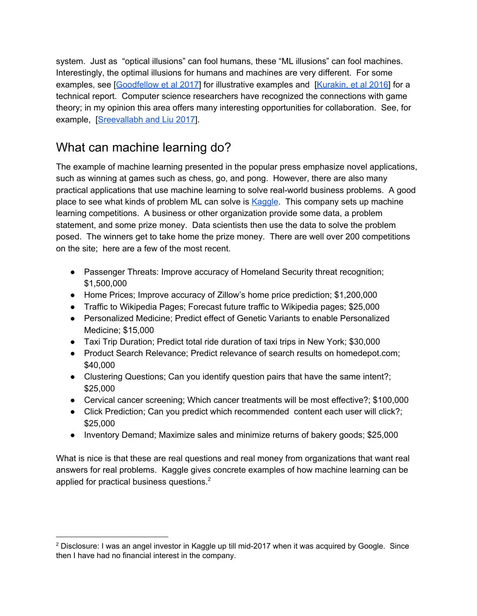system. Just as "optical illusions" can fool humans, these "ML illusions" can fool machines. Interestingly, the optimal illusions for humans and machines are very different. For some examples, see [[Goodfellow et al 2017](https://blog.openai.com/adversarial-example-research/)] for illustrative examples and [\[Kurakin, et al 2016\]](https://arxiv.org/abs/1607.02533) for a technical report. Computer science researchers have recognized the connections with game theory; in my opinion this area offers many interesting opportunities for collaboration. See, for example, [[Sreevallabh and Liu 2017](http://ieeexplore.ieee.org/document/7966196/citations)].

## <span id="page-5-0"></span>What can machine learning do?

The example of machine learning presented in the popular press emphasize novel applications, such as winning at games such as chess, go, and pong. However, there are also many practical applications that use machine learning to solve real-world business problems. A good place to see what kinds of problem ML can solve is [Kaggle](http://www.kaggle.com/). This company sets up machine learning competitions. A business or other organization provide some data, a problem statement, and some prize money. Data scientists then use the data to solve the problem posed. The winners get to take home the prize money. There are well over 200 competitions on the site; here are a few of the most recent.

- Passenger Threats: Improve accuracy of Homeland Security threat recognition; \$1,500,000
- Home Prices; Improve accuracy of Zillow's home price prediction; \$1,200,000
- Traffic to Wikipedia Pages; Forecast future traffic to Wikipedia pages; \$25,000
- Personalized Medicine; Predict effect of Genetic Variants to enable Personalized Medicine; \$15,000
- Taxi Trip Duration; Predict total ride duration of taxi trips in New York; \$30,000
- Product Search Relevance; Predict relevance of search results on homedepot.com; \$40,000
- Clustering Questions; Can you identify question pairs that have the same intent?; \$25,000
- Cervical cancer screening; Which cancer treatments will be most effective?; \$100,000
- Click Prediction; Can you predict which recommended content each user will click?; \$25,000
- Inventory Demand; Maximize sales and minimize returns of bakery goods; \$25,000

What is nice is that these are real questions and real money from organizations that want real answers for real problems. Kaggle gives concrete examples of how machine learning can be applied for practical business questions.<sup>2</sup>

 $^2$  Disclosure: I was an angel investor in Kaggle up till mid-2017 when it was acquired by Google. Since then I have had no financial interest in the company.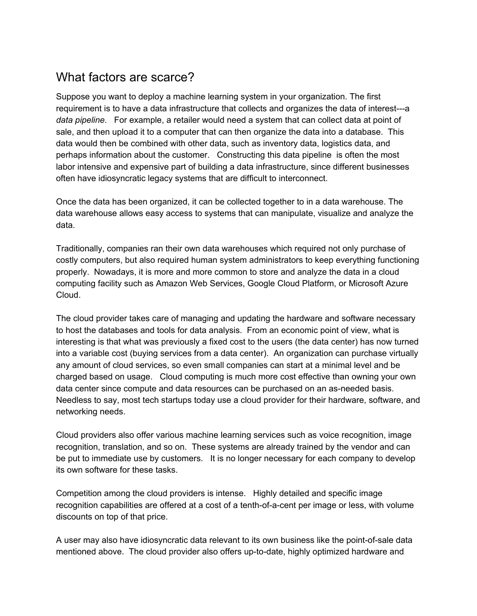### <span id="page-6-0"></span>What factors are scarce?

Suppose you want to deploy a machine learning system in your organization. The first requirement is to have a data infrastructure that collects and organizes the data of interest---a *data pipeline*. For example, a retailer would need a system that can collect data at point of sale, and then upload it to a computer that can then organize the data into a database. This data would then be combined with other data, such as inventory data, logistics data, and perhaps information about the customer. Constructing this data pipeline is often the most labor intensive and expensive part of building a data infrastructure, since different businesses often have idiosyncratic legacy systems that are difficult to interconnect.

Once the data has been organized, it can be collected together to in a data warehouse. The data warehouse allows easy access to systems that can manipulate, visualize and analyze the data.

Traditionally, companies ran their own data warehouses which required not only purchase of costly computers, but also required human system administrators to keep everything functioning properly. Nowadays, it is more and more common to store and analyze the data in a cloud computing facility such as Amazon Web Services, Google Cloud Platform, or Microsoft Azure Cloud.

The cloud provider takes care of managing and updating the hardware and software necessary to host the databases and tools for data analysis. From an economic point of view, what is interesting is that what was previously a fixed cost to the users (the data center) has now turned into a variable cost (buying services from a data center). An organization can purchase virtually any amount of cloud services, so even small companies can start at a minimal level and be charged based on usage. Cloud computing is much more cost effective than owning your own data center since compute and data resources can be purchased on an as-needed basis. Needless to say, most tech startups today use a cloud provider for their hardware, software, and networking needs.

Cloud providers also offer various machine learning services such as voice recognition, image recognition, translation, and so on. These systems are already trained by the vendor and can be put to immediate use by customers. It is no longer necessary for each company to develop its own software for these tasks.

Competition among the cloud providers is intense. Highly detailed and specific image recognition capabilities are offered at a cost of a tenth-of-a-cent per image or less, with volume discounts on top of that price.

A user may also have idiosyncratic data relevant to its own business like the point-of-sale data mentioned above. The cloud provider also offers up-to-date, highly optimized hardware and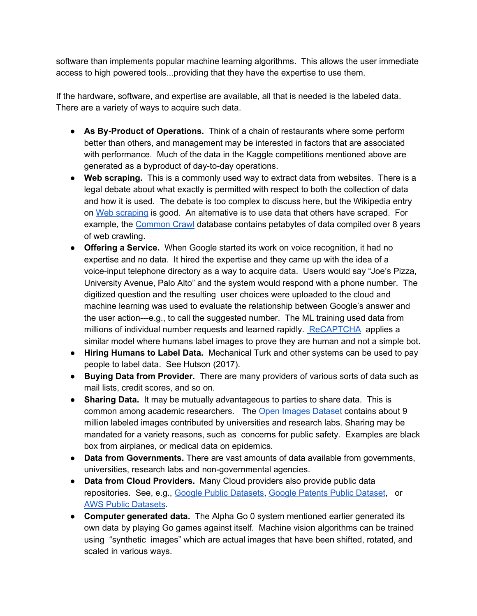software than implements popular machine learning algorithms. This allows the user immediate access to high powered tools...providing that they have the expertise to use them.

If the hardware, software, and expertise are available, all that is needed is the labeled data. There are a variety of ways to acquire such data.

- **As By-Product of Operations.**  Think of a chain of restaurants where some perform better than others, and management may be interested in factors that are associated with performance. Much of the data in the Kaggle competitions mentioned above are generated as a byproduct of day-to-day operations.
- **Web scraping.**  This is a commonly used way to extract data from websites. There is a legal debate about what exactly is permitted with respect to both the collection of data and how it is used. The debate is too complex to discuss here, but the Wikipedia entry on [Web scraping](https://en.wikipedia.org/wiki/Web_scraping) is good. An alternative is to use data that others have scraped. For example, the [Common Crawl](http://commoncrawl.org/) database contains petabytes of data compiled over 8 years of web crawling.
- **Offering a Service.** When Google started its work on voice recognition, it had no expertise and no data. It hired the expertise and they came up with the idea of a voice-input telephone directory as a way to acquire data. Users would say "Joe's Pizza, University Avenue, Palo Alto" and the system would respond with a phone number. The digitized question and the resulting user choices were uploaded to the cloud and machine learning was used to evaluate the relationship between Google's answer and the user action---e.g., to call the suggested number. The ML training used data from millions of individual number requests and learned rapidly. [ReCAPTCHA](https://www.google.com/recaptcha/intro/) applies a similar model where humans label images to prove they are human and not a simple bot.
- **Hiring Humans to Label Data.** Mechanical Turk and other systems can be used to pay people to label data. See Hutson (2017).
- **Buying Data from Provider.**  There are many providers of various sorts of data such as mail lists, credit scores, and so on.
- **Sharing Data.** It may be mutually advantageous to parties to share data. This is common among academic researchers. The [Open Images Dataset](https://research.googleblog.com/2016/09/introducing-open-images-dataset.html) contains about 9 million labeled images contributed by universities and research labs. Sharing may be mandated for a variety reasons, such as concerns for public safety. Examples are black box from airplanes, or medical data on epidemics.
- **Data from Governments.** There are vast amounts of data available from governments, universities, research labs and non-governmental agencies.
- **Data from Cloud Providers.** Many Cloud providers also provide public data repositories. See, e.g., [Google Public Datasets](https://cloud.google.com/public-datasets/), [Google Patents Public Dataset,](https://cloud.google.com/blog/big-data/2017/10/google-patents-public-datasets-connecting-public-paid-and-private-patent-data) or [AWS Public Datasets](https://aws.amazon.com/public-datasets/).
- **Computer generated data.** The Alpha Go 0 system mentioned earlier generated its own data by playing Go games against itself. Machine vision algorithms can be trained using "synthetic images" which are actual images that have been shifted, rotated, and scaled in various ways.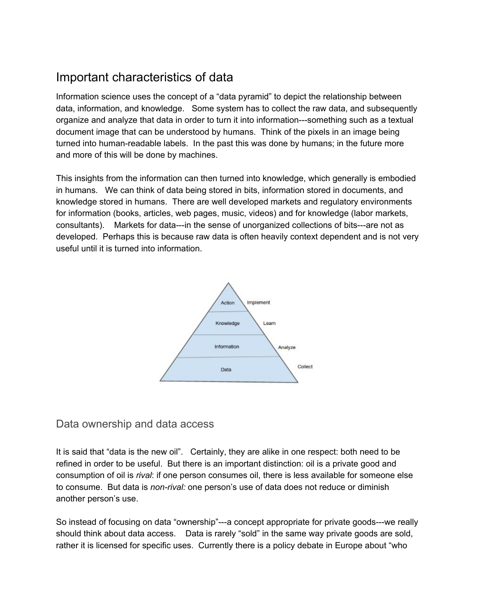## <span id="page-8-0"></span>Important characteristics of data

Information science uses the concept of a "data pyramid" to depict the relationship between data, information, and knowledge. Some system has to collect the raw data, and subsequently organize and analyze that data in order to turn it into information---something such as a textual document image that can be understood by humans. Think of the pixels in an image being turned into human-readable labels. In the past this was done by humans; in the future more and more of this will be done by machines.

This insights from the information can then turned into knowledge, which generally is embodied in humans. We can think of data being stored in bits, information stored in documents, and knowledge stored in humans. There are well developed markets and regulatory environments for information (books, articles, web pages, music, videos) and for knowledge (labor markets, consultants). Markets for data---in the sense of unorganized collections of bits---are not as developed. Perhaps this is because raw data is often heavily context dependent and is not very useful until it is turned into information.



#### <span id="page-8-1"></span>Data ownership and data access

It is said that "data is the new oil". Certainly, they are alike in one respect: both need to be refined in order to be useful. But there is an important distinction: oil is a private good and consumption of oil is *rival*: if one person consumes oil, there is less available for someone else to consume. But data is *non-rival:* one person's use of data does not reduce or diminish another person's use.

So instead of focusing on data "ownership"---a concept appropriate for private goods---we really should think about data access. Data is rarely "sold" in the same way private goods are sold, rather it is licensed for specific uses. Currently there is a policy debate in Europe about "who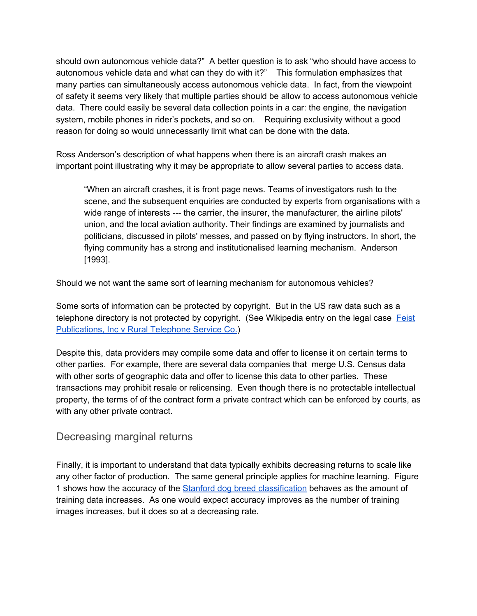should own autonomous vehicle data?" A better question is to ask "who should have access to autonomous vehicle data and what can they do with it?" This formulation emphasizes that many parties can simultaneously access autonomous vehicle data. In fact, from the viewpoint of safety it seems very likely that multiple parties should be allow to access autonomous vehicle data. There could easily be several data collection points in a car: the engine, the navigation system, mobile phones in rider's pockets, and so on. Requiring exclusivity without a good reason for doing so would unnecessarily limit what can be done with the data.

Ross Anderson's description of what happens when there is an aircraft crash makes an important point illustrating why it may be appropriate to allow several parties to access data.

"When an aircraft crashes, it is front page news. Teams of investigators rush to the scene, and the subsequent enquiries are conducted by experts from organisations with a wide range of interests --- the carrier, the insurer, the manufacturer, the airline pilots' union, and the local aviation authority. Their findings are examined by journalists and politicians, discussed in pilots' messes, and passed on by flying instructors. In short, the flying community has a strong and institutionalised learning mechanism. Anderson [1993].

Should we not want the same sort of learning mechanism for autonomous vehicles?

Some sorts of information can be protected by copyright. But in the US raw data such as a telephone directory is not protected by copyright. (See Wikipedia entry on the legal case [Feist](https://en.wikipedia.org/wiki/Feist_Publications,_Inc.,_v._Rural_Telephone_Service_Co.)  [Publications, Inc v Rural Telephone Service Co.](https://en.wikipedia.org/wiki/Feist_Publications,_Inc.,_v._Rural_Telephone_Service_Co.))

Despite this, data providers may compile some data and offer to license it on certain terms to other parties. For example, there are several data companies that merge U.S. Census data with other sorts of geographic data and offer to license this data to other parties. These transactions may prohibit resale or relicensing. Even though there is no protectable intellectual property, the terms of of the contract form a private contract which can be enforced by courts, as with any other private contract.

#### <span id="page-9-0"></span>Decreasing marginal returns

Finally, it is important to understand that data typically exhibits decreasing returns to scale like any other factor of production. The same general principle applies for machine learning. Figure 1 shows how the accuracy of the [Stanford dog breed classification](http://vision.stanford.edu/aditya86/ImageNetDogs/) behaves as the amount of training data increases. As one would expect accuracy improves as the number of training images increases, but it does so at a decreasing rate.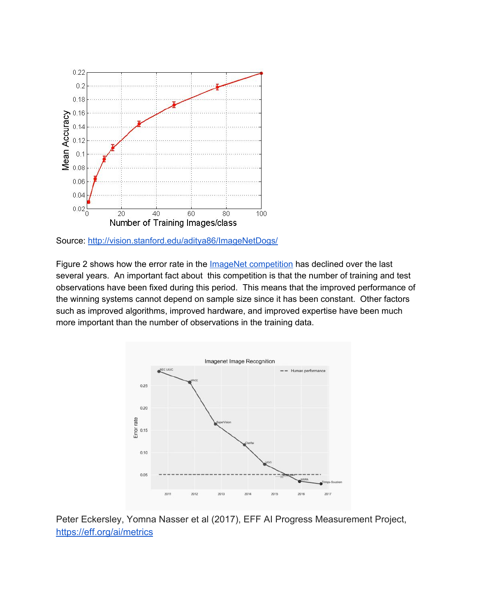

Source: <http://vision.stanford.edu/aditya86/ImageNetDogs/>

Figure 2 shows how the error rate in the **ImageNet competition** has declined over the last several years. An important fact about this competition is that the number of training and test observations have been fixed during this period. This means that the improved performance of the winning systems cannot depend on sample size since it has been constant. Other factors such as improved algorithms, improved hardware, and improved expertise have been much more important than the number of observations in the training data.



Peter Eckersley, Yomna Nasser et al (2017), EFF AI Progress Measurement Project, <https://eff.org/ai/metrics>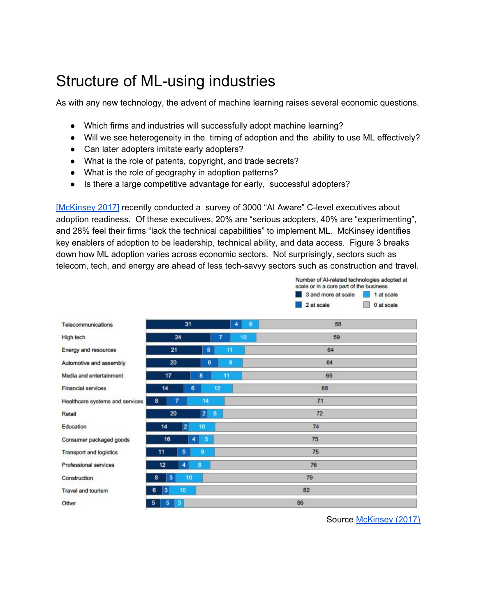# <span id="page-11-0"></span>Structure of ML-using industries

As with any new technology, the advent of machine learning raises several economic questions.

- Which firms and industries will successfully adopt machine learning?
- Will we see heterogeneity in the timing of adoption and the ability to use ML effectively?
- Can later adopters imitate early adopters?
- What is the role of patents, copyright, and trade secrets?
- What is the role of geography in adoption patterns?
- Is there a large competitive advantage for early, successful adopters?

[\[McKinsey 2017\]](https://www.mckinsey.com/~/media/mckinsey/industries/advanced%20electronics/our%20insights/how%20artificial%20intelligence%20can%20deliver%20real%20value%20to%20companies/mgi-artificial-intelligence-discussion-paper.ashx) recently conducted a survey of 3000 "AI Aware" C-level executives about adoption readiness. Of these executives, 20% are "serious adopters, 40% are "experimenting", and 28% feel their firms "lack the technical capabilities" to implement ML. McKinsey identifies key enablers of adoption to be leadership, technical ability, and data access. Figure 3 breaks down how ML adoption varies across economic sectors. Not surprisingly, sectors such as telecom, tech, and energy are ahead of less tech-savvy sectors such as construction and travel.

|                                 |                              |    |                |                 |    | 2 at scale<br>0 at scale |  |
|---------------------------------|------------------------------|----|----------------|-----------------|----|--------------------------|--|
| Telecommunications              | 31                           |    |                | 6<br>4          |    | 58                       |  |
| High tech                       |                              | 24 |                |                 | 10 | 59                       |  |
| Energy and resources            | 21                           |    | 5              | 11              |    | 64                       |  |
| Automotive and assembly         | 20                           |    | 6              |                 | 9  | 64                       |  |
| Media and entertainment         | 17                           |    | 8              | 11              |    | 65                       |  |
| <b>Financial services</b>       | 14                           | 6  |                | 12 <sub>2</sub> |    | 68                       |  |
| Healthcare systems and services | 8                            | 7  | 14             |                 |    | 71                       |  |
| Retail                          | 20                           |    | 2 <sub>1</sub> | 6               |    | 72                       |  |
| Education                       | 14                           | 2  | 10             |                 |    | 74                       |  |
| Consumer packaged goods         | 16                           | 4  | 5              |                 |    | 75                       |  |
| <b>Transport and logistics</b>  | 11                           | 5  | 9              |                 |    | 75                       |  |
| Professional services           | 12                           | 4  | 8              |                 |    | 76                       |  |
| Construction                    | 3<br>8                       | 10 |                |                 |    | 79                       |  |
| <b>Travel and tourism</b>       | $\overline{\mathbf{3}}$<br>6 | 10 |                | 82              |    |                          |  |
| Other                           | 5<br>5                       | 3  |                | 86              |    |                          |  |

Source [McKinsey \(2017\)](https://www.mckinsey.com/~/media/mckinsey/industries/advanced%20electronics/our%20insights/how%20artificial%20intelligence%20can%20deliver%20real%20value%20to%20companies/mgi-artificial-intelligence-discussion-paper.ashx)

Number of Al-related technologies adopted at scale or in a core part of the business 3 and more at scale 1 at scale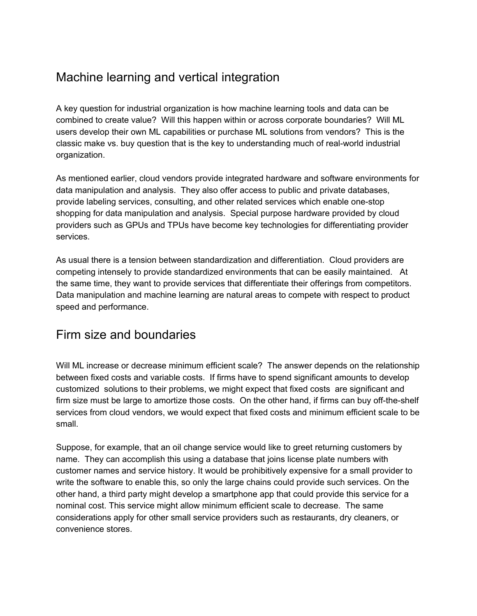## <span id="page-12-0"></span>Machine learning and vertical integration

A key question for industrial organization is how machine learning tools and data can be combined to create value? Will this happen within or across corporate boundaries? Will ML users develop their own ML capabilities or purchase ML solutions from vendors? This is the classic make vs. buy question that is the key to understanding much of real-world industrial organization.

As mentioned earlier, cloud vendors provide integrated hardware and software environments for data manipulation and analysis. They also offer access to public and private databases, provide labeling services, consulting, and other related services which enable one-stop shopping for data manipulation and analysis. Special purpose hardware provided by cloud providers such as GPUs and TPUs have become key technologies for differentiating provider services.

As usual there is a tension between standardization and differentiation. Cloud providers are competing intensely to provide standardized environments that can be easily maintained. At the same time, they want to provide services that differentiate their offerings from competitors. Data manipulation and machine learning are natural areas to compete with respect to product speed and performance.

### <span id="page-12-1"></span>Firm size and boundaries

Will ML increase or decrease minimum efficient scale? The answer depends on the relationship between fixed costs and variable costs. If firms have to spend significant amounts to develop customized solutions to their problems, we might expect that fixed costs are significant and firm size must be large to amortize those costs. On the other hand, if firms can buy off-the-shelf services from cloud vendors, we would expect that fixed costs and minimum efficient scale to be small.

Suppose, for example, that an oil change service would like to greet returning customers by name. They can accomplish this using a database that joins license plate numbers with customer names and service history. It would be prohibitively expensive for a small provider to write the software to enable this, so only the large chains could provide such services. On the other hand, a third party might develop a smartphone app that could provide this service for a nominal cost. This service might allow minimum efficient scale to decrease. The same considerations apply for other small service providers such as restaurants, dry cleaners, or convenience stores.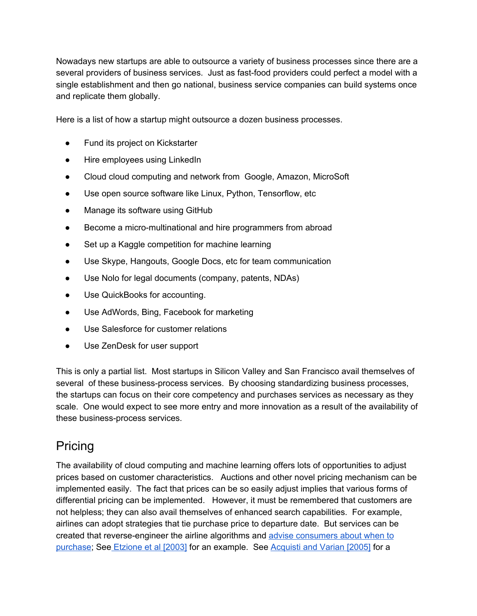Nowadays new startups are able to outsource a variety of business processes since there are a several providers of business services. Just as fast-food providers could perfect a model with a single establishment and then go national, business service companies can build systems once and replicate them globally.

Here is a list of how a startup might outsource a dozen business processes.

- Fund its project on Kickstarter
- Hire employees using LinkedIn
- Cloud cloud computing and network from Google, Amazon, MicroSoft
- Use open source software like Linux, Python, Tensorflow, etc
- Manage its software using GitHub
- Become a micro-multinational and hire programmers from abroad
- Set up a Kaggle competition for machine learning
- Use Skype, Hangouts, Google Docs, etc for team communication
- Use Nolo for legal documents (company, patents, NDAs)
- Use QuickBooks for accounting.
- Use AdWords, Bing, Facebook for marketing
- Use Salesforce for customer relations
- Use ZenDesk for user support

This is only a partial list. Most startups in Silicon Valley and San Francisco avail themselves of several of these business-process services. By choosing standardizing business processes, the startups can focus on their core competency and purchases services as necessary as they scale. One would expect to see more entry and more innovation as a result of the availability of these business-process services.

### <span id="page-13-0"></span>**Pricing**

The availability of cloud computing and machine learning offers lots of opportunities to adjust prices based on customer characteristics. Auctions and other novel pricing mechanism can be implemented easily. The fact that prices can be so easily adjust implies that various forms of differential pricing can be implemented. However, it must be remembered that customers are not helpless; they can also avail themselves of enhanced search capabilities. For example, airlines can adopt strategies that tie purchase price to departure date. But services can be created that reverse-engineer the airline algorithms and [advise consumers about when to](http://www.washington.edu/news/2003/04/01/airfare-analyzer-could-save-big-bucks-by-advising-when-to-buy-tickets/)  [purchase](http://www.washington.edu/news/2003/04/01/airfare-analyzer-could-save-big-bucks-by-advising-when-to-buy-tickets/); See [Etzione et al \[2003\]](https://pdfs.semanticscholar.org/b43e/0bb7e5393502fc599ecb22aa055839a03d4a.pdf) for an example. See [Acquisti and Varian \[2005\]](http://people.ischool.berkeley.edu/~hal/Papers/privacy.pdf) for a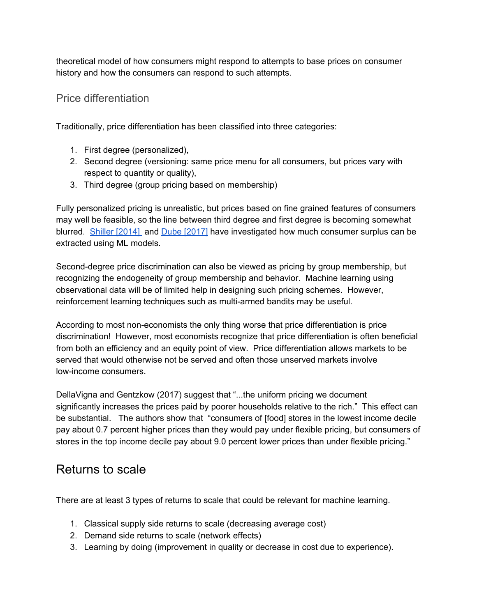theoretical model of how consumers might respond to attempts to base prices on consumer history and how the consumers can respond to such attempts.

#### <span id="page-14-0"></span>Price differentiation

Traditionally, price differentiation has been classified into three categories:

- 1. First degree (personalized),
- 2. Second degree (versioning: same price menu for all consumers, but prices vary with respect to quantity or quality),
- 3. Third degree (group pricing based on membership)

Fully personalized pricing is unrealistic, but prices based on fine grained features of consumers may well be feasible, so the line between third degree and first degree is becoming somewhat blurred. [Shiller \[2014\]](http://benjaminshiller.com/images/First_Degree_PD_Using_Big_Data_Apr_8,_2014.pdf) and [Dube \[2017\]](http://www.nber.org/confer//2017/SI2017/PRIT/Dube_Misra.pdf) have investigated how much consumer surplus can be extracted using ML models.

Second-degree price discrimination can also be viewed as pricing by group membership, but recognizing the endogeneity of group membership and behavior. Machine learning using observational data will be of limited help in designing such pricing schemes. However, reinforcement learning techniques such as multi-armed bandits may be useful.

According to most non-economists the only thing worse that price differentiation is price discrimination! However, most economists recognize that price differentiation is often beneficial from both an efficiency and an equity point of view. Price differentiation allows markets to be served that would otherwise not be served and often those unserved markets involve low-income consumers.

DellaVigna and Gentzkow (2017) suggest that "...the uniform pricing we document significantly increases the prices paid by poorer households relative to the rich." This effect can be substantial. The authors show that "consumers of [food] stores in the lowest income decile pay about 0.7 percent higher prices than they would pay under flexible pricing, but consumers of stores in the top income decile pay about 9.0 percent lower prices than under flexible pricing."

### <span id="page-14-1"></span>Returns to scale

There are at least 3 types of returns to scale that could be relevant for machine learning.

- 1. Classical supply side returns to scale (decreasing average cost)
- 2. Demand side returns to scale (network effects)
- 3. Learning by doing (improvement in quality or decrease in cost due to experience).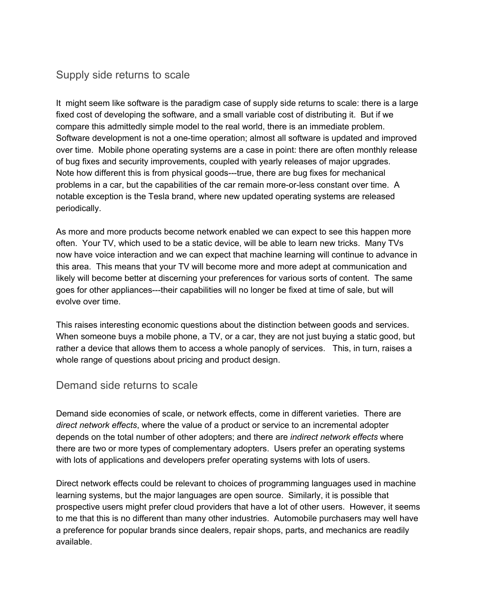#### <span id="page-15-0"></span>Supply side returns to scale

It might seem like software is the paradigm case of supply side returns to scale: there is a large fixed cost of developing the software, and a small variable cost of distributing it. But if we compare this admittedly simple model to the real world, there is an immediate problem. Software development is not a one-time operation; almost all software is updated and improved over time. Mobile phone operating systems are a case in point: there are often monthly release of bug fixes and security improvements, coupled with yearly releases of major upgrades. Note how different this is from physical goods---true, there are bug fixes for mechanical problems in a car, but the capabilities of the car remain more-or-less constant over time. A notable exception is the Tesla brand, where new updated operating systems are released periodically.

As more and more products become network enabled we can expect to see this happen more often. Your TV, which used to be a static device, will be able to learn new tricks. Many TVs now have voice interaction and we can expect that machine learning will continue to advance in this area. This means that your TV will become more and more adept at communication and likely will become better at discerning your preferences for various sorts of content. The same goes for other appliances---their capabilities will no longer be fixed at time of sale, but will evolve over time.

This raises interesting economic questions about the distinction between goods and services. When someone buys a mobile phone, a TV, or a car, they are not just buying a static good, but rather a device that allows them to access a whole panoply of services. This, in turn, raises a whole range of questions about pricing and product design.

#### <span id="page-15-1"></span>Demand side returns to scale

Demand side economies of scale, or network effects, come in different varieties. There are *direct network effects*, where the value of a product or service to an incremental adopter depends on the total number of other adopters; and there are *indirect network effects* where there are two or more types of complementary adopters. Users prefer an operating systems with lots of applications and developers prefer operating systems with lots of users.

Direct network effects could be relevant to choices of programming languages used in machine learning systems, but the major languages are open source. Similarly, it is possible that prospective users might prefer cloud providers that have a lot of other users. However, it seems to me that this is no different than many other industries. Automobile purchasers may well have a preference for popular brands since dealers, repair shops, parts, and mechanics are readily available.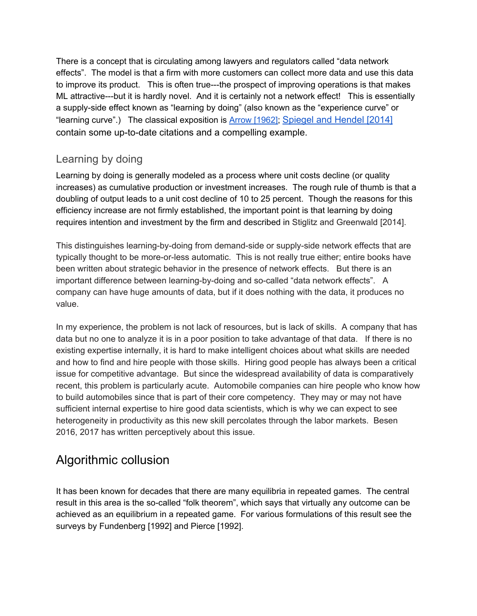There is a concept that is circulating among lawyers and regulators called "data network effects". The model is that a firm with more customers can collect more data and use this data to improve its product. This is often true---the prospect of improving operations is that makes ML attractive---but it is hardly novel. And it is certainly not a network effect! This is essentially a supply-side effect known as "learning by doing" (also known as the "experience curve" or "learning curve".) The classical exposition is [Arrow \[1962\];](https://www.jstor.org/stable/2295952?seq=1#page_scan_tab_contents) [Spiegel and Hendel \[2014\]](https://www.tau.ac.il/~spiegel/papers/HS-AEJ-2014.pdf) contain some up-to-date citations and a compelling example.

#### <span id="page-16-0"></span>Learning by doing

Learning by doing is generally modeled as a process where unit costs decline (or quality increases) as cumulative production or investment increases. The rough rule of thumb is that a doubling of output leads to a unit cost decline of 10 to 25 percent. Though the reasons for this efficiency increase are not firmly established, the important point is that learning by doing requires intention and investment by the firm and described in Stiglitz and Greenwald [2014].

This distinguishes learning-by-doing from demand-side or supply-side network effects that are typically thought to be more-or-less automatic. This is not really true either; entire books have been written about strategic behavior in the presence of network effects. But there is an important difference between learning-by-doing and so-called "data network effects". A company can have huge amounts of data, but if it does nothing with the data, it produces no value.

In my experience, the problem is not lack of resources, but is lack of skills. A company that has data but no one to analyze it is in a poor position to take advantage of that data. If there is no existing expertise internally, it is hard to make intelligent choices about what skills are needed and how to find and hire people with those skills. Hiring good people has always been a critical issue for competitive advantage. But since the widespread availability of data is comparatively recent, this problem is particularly acute. Automobile companies can hire people who know how to build automobiles since that is part of their core competency. They may or may not have sufficient internal expertise to hire good data scientists, which is why we can expect to see heterogeneity in productivity as this new skill percolates through the labor markets. Besen 2016, 2017 has written perceptively about this issue.

### <span id="page-16-1"></span>Algorithmic collusion

It has been known for decades that there are many equilibria in repeated games. The central result in this area is the so-called "folk theorem", which says that virtually any outcome can be achieved as an equilibrium in a repeated game. For various formulations of this result see the surveys by Fundenberg [1992] and Pierce [1992].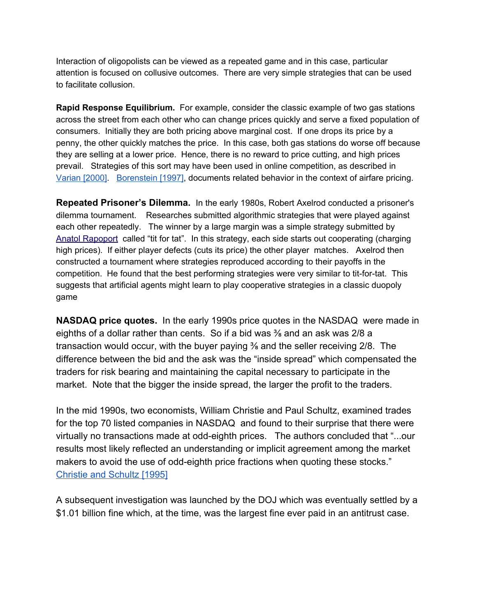Interaction of oligopolists can be viewed as a repeated game and in this case, particular attention is focused on collusive outcomes. There are very simple strategies that can be used to facilitate collusion.

**Rapid Response Equilibrium.** For example, consider the classic example of two gas stations across the street from each other who can change prices quickly and serve a fixed population of consumers. Initially they are both pricing above marginal cost. If one drops its price by a penny, the other quickly matches the price. In this case, both gas stations do worse off because they are selling at a lower price. Hence, there is no reward to price cutting, and high prices prevail. Strategies of this sort may have been used in online competition, as described in [Varian \[2000\]](http://people.ischool.berkeley.edu/~hal/people/hal/NYTimes/2000-08-24.html). [Borenstein \[1997\],](http://faculty.haas.berkeley.edu/borenste/download/atpcase1.pdf) documents related behavior in the context of airfare pricing.

**Repeated Prisoner's Dilemma.** In the early 1980s, Robert Axelrod conducted a prisoner's dilemma tournament. Researches submitted algorithmic strategies that were played against each other repeatedly. The winner by a large margin was a simple strategy submitted by [Anatol Rapoport](https://en.wikipedia.org/wiki/Anatol_Rapoport) called "tit for tat". In this strategy, each side starts out cooperating (charging high prices). If either player defects (cuts its price) the other player matches. Axelrod then constructed a tournament where strategies reproduced according to their payoffs in the competition. He found that the best performing strategies were very similar to tit-for-tat. This suggests that artificial agents might learn to play cooperative strategies in a classic duopoly game

**NASDAQ price quotes.** In the early 1990s price quotes in the NASDAQ were made in eighths of a dollar rather than cents. So if a bid was 3% and an ask was 2/8 a transaction would occur, with the buyer paying <sup>3</sup> and the seller receiving 2/8. The difference between the bid and the ask was the "inside spread" which compensated the traders for risk bearing and maintaining the capital necessary to participate in the market. Note that the bigger the inside spread, the larger the profit to the traders.

In the mid 1990s, two economists, William Christie and Paul Schultz, examined trades for the top 70 listed companies in NASDAQ and found to their surprise that there were virtually no transactions made at odd-eighth prices. The authors concluded that "...our results most likely reflected an understanding or implicit agreement among the market makers to avoid the use of odd-eighth price fractions when quoting these stocks." [Christie and Schultz \[1995\]](http://pubs.aeaweb.org/doi/pdfplus/10.1257/jep.9.3.199)

A subsequent investigation was launched by the DOJ which was eventually settled by a \$1.01 billion fine which, at the time, was the largest fine ever paid in an antitrust case.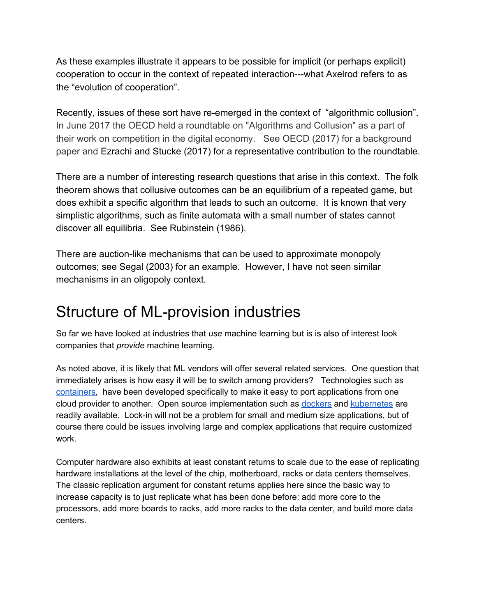As these examples illustrate it appears to be possible for implicit (or perhaps explicit) cooperation to occur in the context of repeated interaction---what Axelrod refers to as the "evolution of cooperation".

Recently, issues of these sort have re-emerged in the context of "algorithmic collusion". In June 2017 the OECD held a roundtable on "Algorithms and Collusion" as a part of their work on competition in the digital economy. See OECD (2017) for a background paper and Ezrachi and Stucke (2017) for a representative contribution to the roundtable.

There are a number of interesting research questions that arise in this context. The folk theorem shows that collusive outcomes can be an equilibrium of a repeated game, but does exhibit a specific algorithm that leads to such an outcome. It is known that very simplistic algorithms, such as finite automata with a small number of states cannot discover all equilibria. See Rubinstein (1986).

There are auction-like mechanisms that can be used to approximate monopoly outcomes; see Segal (2003) for an example. However, I have not seen similar mechanisms in an oligopoly context.

# <span id="page-18-0"></span>Structure of ML-provision industries

So far we have looked at industries that *use* machine learning but is is also of interest look companies that *provide* machine learning.

As noted above, it is likely that ML vendors will offer several related services. One question that immediately arises is how easy it will be to switch among providers? Technologies such as [containers,](https://en.wikipedia.org/wiki/Operating-system-level_virtualization) have been developed specifically to make it easy to port applications from one cloud provider to another. Open source implementation such as [dockers](https://en.wikipedia.org/wiki/Docker_(software)) and [kubernetes](https://kubernetes.io/) are readily available. Lock-in will not be a problem for small and medium size applications, but of course there could be issues involving large and complex applications that require customized work.

Computer hardware also exhibits at least constant returns to scale due to the ease of replicating hardware installations at the level of the chip, motherboard, racks or data centers themselves. The classic replication argument for constant returns applies here since the basic way to increase capacity is to just replicate what has been done before: add more core to the processors, add more boards to racks, add more racks to the data center, and build more data centers.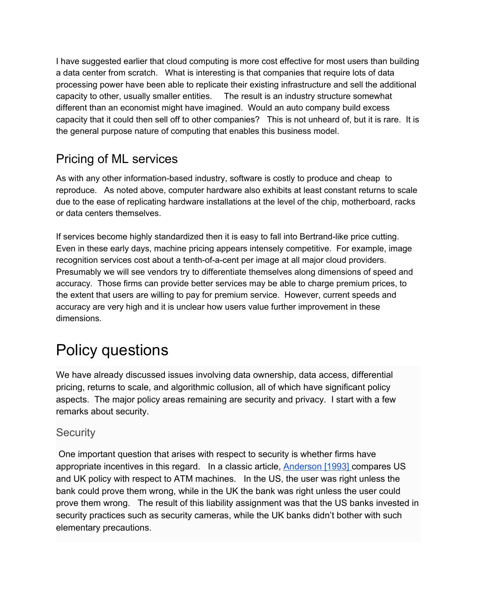I have suggested earlier that cloud computing is more cost effective for most users than building a data center from scratch. What is interesting is that companies that require lots of data processing power have been able to replicate their existing infrastructure and sell the additional capacity to other, usually smaller entities. The result is an industry structure somewhat different than an economist might have imagined. Would an auto company build excess capacity that it could then sell off to other companies? This is not unheard of, but it is rare. It is the general purpose nature of computing that enables this business model.

# <span id="page-19-0"></span>Pricing of ML services

As with any other information-based industry, software is costly to produce and cheap to reproduce. As noted above, computer hardware also exhibits at least constant returns to scale due to the ease of replicating hardware installations at the level of the chip, motherboard, racks or data centers themselves.

If services become highly standardized then it is easy to fall into Bertrand-like price cutting. Even in these early days, machine pricing appears intensely competitive. For example, image recognition services cost about a tenth-of-a-cent per image at all major cloud providers. Presumably we will see vendors try to differentiate themselves along dimensions of speed and accuracy. Those firms can provide better services may be able to charge premium prices, to the extent that users are willing to pay for premium service. However, current speeds and accuracy are very high and it is unclear how users value further improvement in these dimensions.

# <span id="page-19-1"></span>Policy questions

We have already discussed issues involving data ownership, data access, differential pricing, returns to scale, and algorithmic collusion, all of which have significant policy aspects. The major policy areas remaining are security and privacy. I start with a few remarks about security.

#### <span id="page-19-2"></span>**Security**

 One important question that arises with respect to security is whether firms have appropriate incentives in this regard. In a classic article, [Anderson \[1993\] c](http://www.cl.cam.ac.uk/~rja14/wcf.html)ompares US and UK policy with respect to ATM machines. In the US, the user was right unless the bank could prove them wrong, while in the UK the bank was right unless the user could prove them wrong. The result of this liability assignment was that the US banks invested in security practices such as security cameras, while the UK banks didn't bother with such elementary precautions.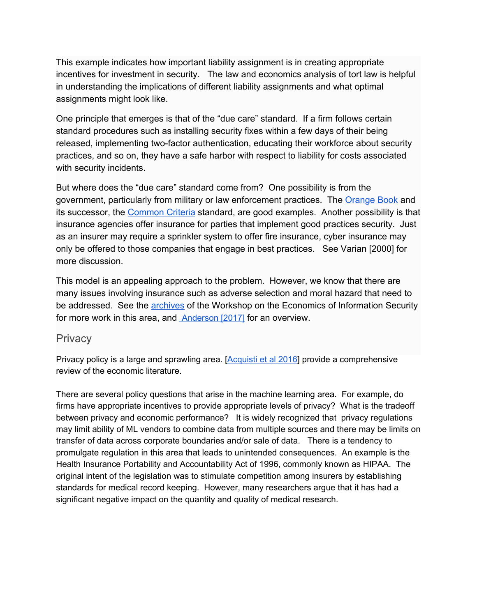This example indicates how important liability assignment is in creating appropriate incentives for investment in security. The law and economics analysis of tort law is helpful in understanding the implications of different liability assignments and what optimal assignments might look like.

One principle that emerges is that of the "due care" standard. If a firm follows certain standard procedures such as installing security fixes within a few days of their being released, implementing two-factor authentication, educating their workforce about security practices, and so on, they have a safe harbor with respect to liability for costs associated with security incidents.

But where does the "due care" standard come from? One possibility is from the government, particularly from military or law enforcement practices. The [Orange Book](https://en.wikipedia.org/wiki/Trusted_Computer_System_Evaluation_Criteria) and its successor, the [Common Criteria](https://en.wikipedia.org/wiki/Common_Criteria) standard, are good examples. Another possibility is that insurance agencies offer insurance for parties that implement good practices security. Just as an insurer may require a sprinkler system to offer fire insurance, cyber insurance may only be offered to those companies that engage in best practices. See Varian [2000] for more discussion.

This model is an appealing approach to the problem. However, we know that there are many issues involving insurance such as adverse selection and moral hazard that need to be addressed. See the [archives](http://weis2017.econinfosec.org/previous-workshops/) of the Workshop on the Economics of Information Security for more work in this area, and [Anderson \[2017\]](http://www.cl.cam.ac.uk/~rja14/econsec.html) for an overview.

#### <span id="page-20-0"></span>**Privacy**

Privacy policy is a large and sprawling area. [[Acquisti et al 2016\]](https://papers.ssrn.com/sol3/papers.cfm?abstract_id=2580411) provide a comprehensive review of the economic literature.

There are several policy questions that arise in the machine learning area. For example, do firms have appropriate incentives to provide appropriate levels of privacy? What is the tradeoff between privacy and economic performance? It is widely recognized that privacy regulations may limit ability of ML vendors to combine data from multiple sources and there may be limits on transfer of data across corporate boundaries and/or sale of data. There is a tendency to promulgate regulation in this area that leads to unintended consequences. An example is the Health Insurance Portability and Accountability Act of 1996, commonly known as HIPAA. The original intent of the legislation was to stimulate competition among insurers by establishing standards for medical record keeping. However, many researchers argue that it has had a significant negative impact on the quantity and quality of medical research.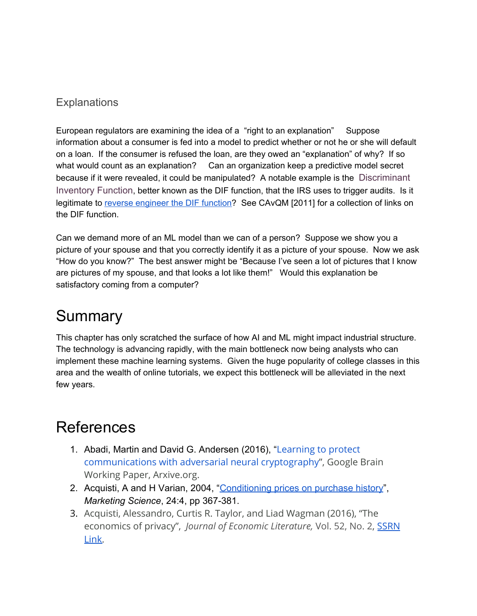#### <span id="page-21-0"></span>**Explanations**

European regulators are examining the idea of a "right to an explanation" Suppose information about a consumer is fed into a model to predict whether or not he or she will default on a loan. If the consumer is refused the loan, are they owed an "explanation" of why? If so what would count as an explanation? Can an organization keep a predictive model secret because if it were revealed, it could be manipulated? A notable example is the [Discriminant](https://www.irs.gov/pub/irs-pdf/p556.pdf)  [Inventory Function](https://www.irs.gov/pub/irs-pdf/p556.pdf), better known as the DIF function, that the IRS uses to trigger audits. Is it legitimate to [reverse engineer the DIF function?](http://cavqm.blogspot.com/2011/07/reverse-engineering-irs-dif-score.html) See CAvQM [2011] for a collection of links on the DIF function.

Can we demand more of an ML model than we can of a person? Suppose we show you a picture of your spouse and that you correctly identify it as a picture of your spouse. Now we ask "How do you know?" The best answer might be "Because I've seen a lot of pictures that I know are pictures of my spouse, and that looks a lot like them!" Would this explanation be satisfactory coming from a computer?

# <span id="page-21-1"></span>Summary

This chapter has only scratched the surface of how AI and ML might impact industrial structure. The technology is advancing rapidly, with the main bottleneck now being analysts who can implement these machine learning systems. Given the huge popularity of college classes in this area and the wealth of online tutorials, we expect this bottleneck will be alleviated in the next few years.

# <span id="page-21-2"></span>References

- 1. Abadi, Martin and David G. Andersen (2016), "[Learning to protect](https://arxiv.org/pdf/1610.06918v1.pdf)  [communications with adversarial neural cryptography"](https://arxiv.org/pdf/1610.06918v1.pdf), Google Brain Working Paper, Arxive.org.
- 2. Acquisti, A and H Varian, 2004, ["Conditioning prices on purchase history](http://www.heinz.cmu.edu/~acquisti/papers/privacy.pdf)", *Marketing Science*, 24:4, pp 367-381.
- 3. Acquisti, Alessandro, Curtis R. Taylor, and Liad Wagman (2016), "The economics of privacy", *[Journal of Economic Literature,](https://papers.ssrn.com/sol3/papers.cfm?abstract_id=2580411##)* [Vol. 52, No. 2](https://papers.ssrn.com/sol3/papers.cfm?abstract_id=2580411##), [SSRN](https://papers.ssrn.com/sol3/papers.cfm?abstract_id=2580411)  [Link.](https://papers.ssrn.com/sol3/papers.cfm?abstract_id=2580411)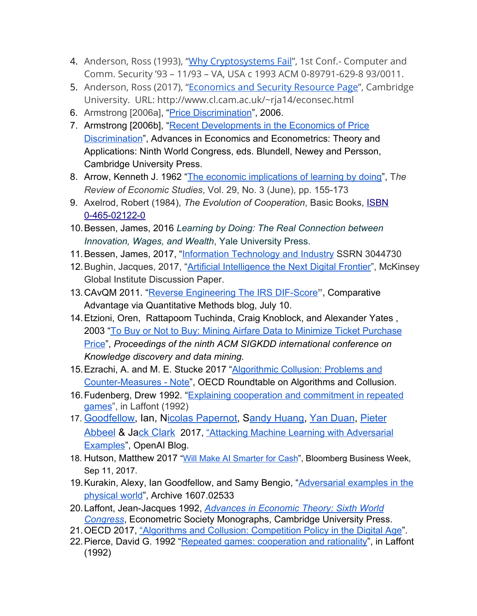- 4. Anderson, Ross (1993), ["Why Cryptosystems Fail"](http://www.cl.cam.ac.uk/~rja14/wcf.html), 1st Conf.- Computer and Comm. Security '93 – 11/93 – VA, USA c 1993 ACM 0-89791-629-8 93/0011.
- 5. Anderson, Ross (2017), ["Economics and Security Resource Page"](http://www.cl.cam.ac.uk/~rja14/econsec.html), Cambridge University. URL: http://www.cl.cam.ac.uk/~rja14/econsec.html
- 6. Armstrong [2006a], "[Price Discrimination](https://econpapers.repec.org/bookchap/eeeindchp/1-10.htm)", 2006.
- 7. Armstrong [2006b], "Recent Developments in the Economics of Price [Discrimination](http://else.econ.ucl.ac.uk/papers/uploaded/222.pdf)", Advances in Economics and Econometrics: Theory and Applications: Ninth World Congress, eds. Blundell, Newey and Persson, Cambridge University Press.
- 8. Arrow, Kenneth J. 1962 "[The economic implications of learning by doing](https://www.jstor.org/stable/2295952?seq=1#page_scan_tab_contents)", T*he Review of Economic Studies*, Vol. 29, No. 3 (June), pp. 155-173
- 9. Axelrod, Robert (1984), *The Evolution of Cooperation*, Basic Books, [ISBN](https://en.wikipedia.org/wiki/International_Standard_Book_Number) [0-465-02122-0](https://en.wikipedia.org/wiki/Special:BookSources/0-465-02122-0)
- 10.Bessen, James, 2016 *Learning by Doing: The Real Connection between Innovation, Wages, and Wealth*, Yale University Press.
- 11. Bessen, James, 2017, ["Information Technology and Industry](https://papers.ssrn.com/sol3/papers.cfm?abstract_id=3044730) SSRN 3044730
- 12.Bughin, Jacques, 2017, "[Artificial Intelligence the Next Digital Frontier](https://www.mckinsey.com/~/media/mckinsey/industries/advanced%20electronics/our%20insights/how%20artificial%20intelligence%20can%20deliver%20real%20value%20to%20companies/mgi-artificial-intelligence-discussion-paper.ashx)", McKinsey Global Institute Discussion Paper.
- 13.CAvQM 2011. ["Reverse Engineering The IRS DIF-Score](http://cavqm.blogspot.com/2011/07/reverse-engineering-irs-dif-score.html)**",** Comparative Advantage via Quantitative Methods blog, July 10.
- 14.Etzioni, Oren, Rattapoom Tuchinda, Craig Knoblock, and Alexander Yates , 2003 ["To Buy or Not to Buy: Mining Airfare Data to Minimize Ticket Purchase](https://pdfs.semanticscholar.org/b43e/0bb7e5393502fc599ecb22aa055839a03d4a.pdf) [Price](https://pdfs.semanticscholar.org/b43e/0bb7e5393502fc599ecb22aa055839a03d4a.pdf)", *Proceedings of the ninth ACM SIGKDD international conference on Knowledge discovery and data mining.*
- 15.Ezrachi, A. and M. E. Stucke 2017 ["Algorithmic Collusion: Problems and](https://www.oecd.org/officialdocuments/publicdisplaydocumentpdf/?cote=DAF/COMP/WD%282017%2925&docLanguage=En)  [Counter-Measures - Note"](https://www.oecd.org/officialdocuments/publicdisplaydocumentpdf/?cote=DAF/COMP/WD%282017%2925&docLanguage=En), OECD Roundtable on Algorithms and Collusion.
- 16.Fudenberg, Drew 1992. "[Explaining cooperation and commitment in repeated](https://dspace.mit.edu/bitstream/handle/1721.1/63504/explainingcooper00fude.pdf?sequence=1)  [games](https://dspace.mit.edu/bitstream/handle/1721.1/63504/explainingcooper00fude.pdf?sequence=1)", in Laffont (1992)
- 17. [Goodfellow](https://blog.openai.com/tag/ian-goodfellow/), Ian, N[icolas Papernot](https://blog.openai.com/tag/nicolas-papernot/), [Sandy Huang,](https://blog.openai.com/tag/sandy-huang/) [Yan Duan](https://blog.openai.com/tag/yan-duan/), Pieter [Abbeel](https://blog.openai.com/tag/pieter-abbeel/) & J[ack Clark](https://blog.openai.com/tag/jack-clark/) 2017, ["Attacking Machine Learning with Adversarial](https://blog.openai.com/adversarial-example-research/)  [Examples](https://blog.openai.com/adversarial-example-research/)", OpenAI Blog.
- 18. Hutson, Matthew 2017 ["Will Make AI Smarter for Cash](https://drive.google.com/open?id=0B78ch0d5WXYMeWVQdnFUbE10T28)", Bloomberg Business Week, Sep 11, 2017.
- 19. Kurakin, Alexy, Ian Goodfellow, and Samy Bengio, "Adversarial examples in the [physical world](https://arxiv.org/abs/1607.02533)", Archive 1607.02533
- 20.Laffont, Jean-Jacques 1992, *[Advances in Economic Theory: Sixth World](https://www.amazon.com/Advances-Economic-Theory-Econometric-Monographs/dp/0521484596)  [Congress](https://www.amazon.com/Advances-Economic-Theory-Econometric-Monographs/dp/0521484596)*, Econometric Society Monographs, Cambridge University Press.
- 21.OECD 2017, ["Algorithms and Collusion: Competition Policy in the Digital Age](http://www.oecd.org/competition/algorithms-collusion-competition-policy-in-the-digital-age.htm)".
- 22. Pierce, David G. 1992 ["Repeated games: cooperation and rationality"](https://cowles.yale.edu/sites/default/files/files/pub/d09/d0983.pdf), in Laffont (1992)